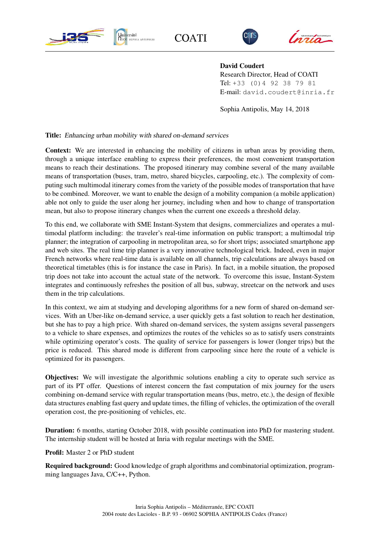

**COATI** 





David Coudert

Research Director, Head of COATI Tel: +33 (0)4 92 38 79 81 E-mail: david.coudert@inria.fr

Sophia Antipolis, May 14, 2018

Title: Enhancing urban mobility with shared on-demand services

Context: We are interested in enhancing the mobility of citizens in urban areas by providing them, through a unique interface enabling to express their preferences, the most convenient transportation means to reach their destinations. The proposed itinerary may combine several of the many available means of transportation (buses, tram, metro, shared bicycles, carpooling, etc.). The complexity of computing such multimodal itinerary comes from the variety of the possible modes of transportation that have to be combined. Moreover, we want to enable the design of a mobility companion (a mobile application) able not only to guide the user along her journey, including when and how to change of transportation mean, but also to propose itinerary changes when the current one exceeds a threshold delay.

To this end, we collaborate with SME Instant-System that designs, commercializes and operates a multimodal platform including: the traveler's real-time information on public transport; a multimodal trip planner; the integration of carpooling in metropolitan area, so for short trips; associated smartphone app and web sites. The real time trip planner is a very innovative technological brick. Indeed, even in major French networks where real-time data is available on all channels, trip calculations are always based on theoretical timetables (this is for instance the case in Paris). In fact, in a mobile situation, the proposed trip does not take into account the actual state of the network. To overcome this issue, Instant-System integrates and continuously refreshes the position of all bus, subway, streetcar on the network and uses them in the trip calculations.

In this context, we aim at studying and developing algorithms for a new form of shared on-demand services. With an Uber-like on-demand service, a user quickly gets a fast solution to reach her destination, but she has to pay a high price. With shared on-demand services, the system assigns several passengers to a vehicle to share expenses, and optimizes the routes of the vehicles so as to satisfy users constraints while optimizing operator's costs. The quality of service for passengers is lower (longer trips) but the price is reduced. This shared mode is different from carpooling since here the route of a vehicle is optimized for its passengers.

Objectives: We will investigate the algorithmic solutions enabling a city to operate such service as part of its PT offer. Questions of interest concern the fast computation of mix journey for the users combining on-demand service with regular transportation means (bus, metro, etc.), the design of flexible data structures enabling fast query and update times, the filling of vehicles, the optimization of the overall operation cost, the pre-positioning of vehicles, etc.

Duration: 6 months, starting October 2018, with possible continuation into PhD for mastering student. The internship student will be hosted at Inria with regular meetings with the SME.

Profil: Master 2 or PhD student

Required background: Good knowledge of graph algorithms and combinatorial optimization, programming languages Java, C/C++, Python.